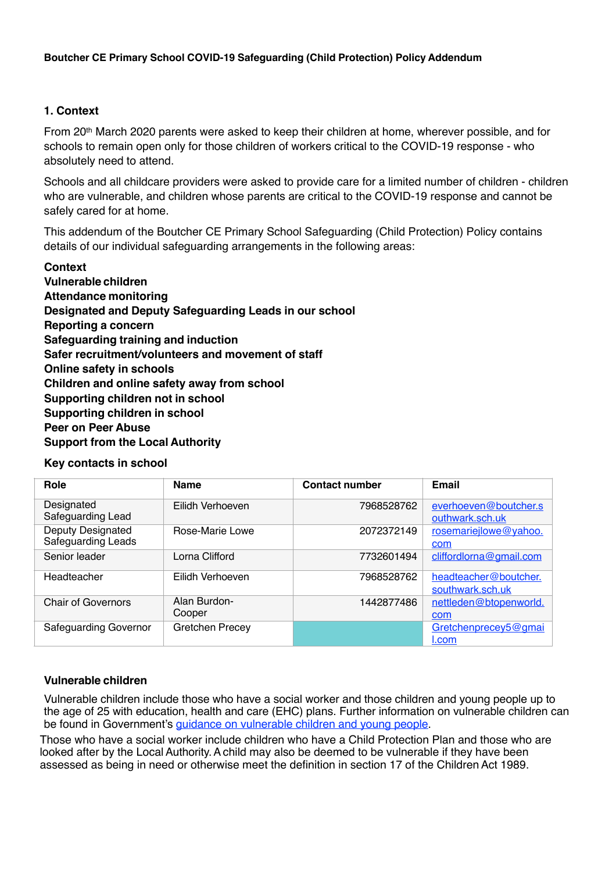# **1. Context**

From 20th March 2020 parents were asked to keep their children at home, wherever possible, and for schools to remain open only for those children of workers critical to the COVID-19 response - who absolutely need to attend.

Schools and all childcare providers were asked to provide care for a limited number of children - children who are vulnerable, and children whose parents are critical to the COVID-19 response and cannot be safely cared for at home.

This addendum of the Boutcher CE Primary School Safeguarding (Child Protection) Policy contains details of our individual safeguarding arrangements in the following areas:

**Context Vulnerable children Attendance monitoring Designated and Deputy Safeguarding Leads in our school Reporting a concern Safeguarding training and induction Safer recruitment/volunteers and movement of staff Online safety in schools Children and online safety away from school Supporting children not in school Supporting children in school Peer on Peer Abuse Support from the Local Authority** 

#### **Key contacts in school**

| Role                                    | <b>Name</b>            | <b>Contact number</b> | <b>Email</b>                              |
|-----------------------------------------|------------------------|-----------------------|-------------------------------------------|
| Designated<br>Safeguarding Lead         | Eilidh Verhoeven       | 7968528762            | everhoeven@boutcher.s<br>outhwark.sch.uk  |
| Deputy Designated<br>Safeguarding Leads | Rose-Marie Lowe        | 2072372149            | rosemariejlowe@yahoo.<br>com              |
| Senior leader                           | Lorna Clifford         | 7732601494            | cliffordlorna@gmail.com                   |
| Headteacher                             | Eilidh Verhoeven       | 7968528762            | headteacher@boutcher.<br>southwark.sch.uk |
| <b>Chair of Governors</b>               | Alan Burdon-<br>Cooper | 1442877486            | nettleden@btopenworld.<br>com             |
| <b>Safeguarding Governor</b>            | Gretchen Precey        |                       | Gretchenprecey5@gmai<br>l.com             |

# **Vulnerable children**

Vulnerable children include those who have a social worker and those children and young people up to the age of 25 with education, health and care (EHC) plans. Further information on vulnerable children can be found in Government's guidance on vulnerable children and young people.

Those who have a social worker include children who have a Child Protection Plan and those who are looked after by the Local Authority. A child may also be deemed to be vulnerable if they have been assessed as being in need or otherwise meet the definition in section 17 of the ChildrenAct 1989.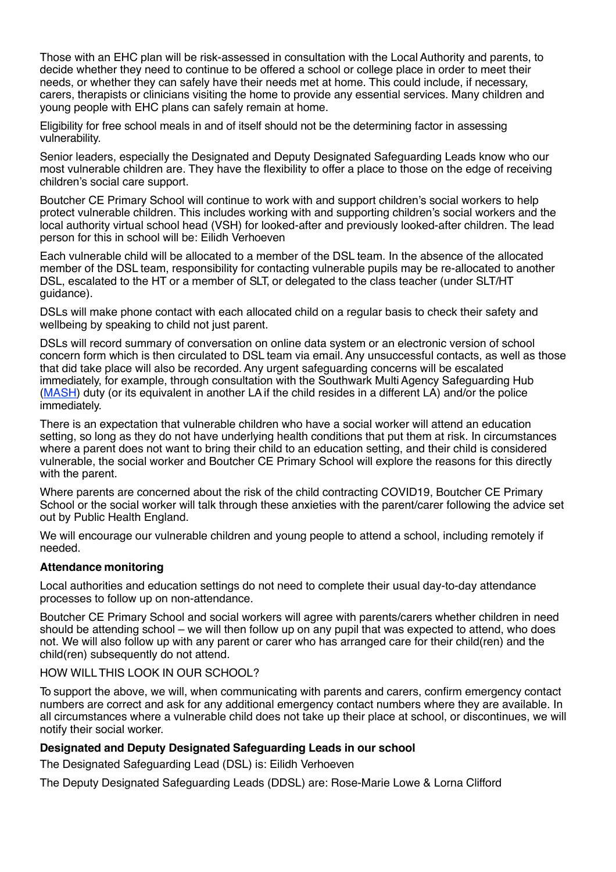Those with an EHC plan will be risk-assessed in consultation with the LocalAuthority and parents, to decide whether they need to continue to be offered a school or college place in order to meet their needs, or whether they can safely have their needs met at home. This could include, if necessary, carers, therapists or clinicians visiting the home to provide any essential services. Many children and young people with EHC plans can safely remain at home.

Eligibility for free school meals in and of itself should not be the determining factor in assessing vulnerability.

Senior leaders, especially the Designated and Deputy Designated Safeguarding Leads know who our most vulnerable children are. They have the flexibility to offer a place to those on the edge of receiving children's social care support.

Boutcher CE Primary School will continue to work with and support children's social workers to help protect vulnerable children. This includes working with and supporting children's social workers and the local authority virtual school head (VSH) for looked-after and previously looked-after children. The lead person for this in school will be: Eilidh Verhoeven

Each vulnerable child will be allocated to a member of the DSL team. In the absence of the allocated member of the DSL team, responsibility for contacting vulnerable pupils may be re-allocated to another DSL, escalated to the HT or a member of SLT, or delegated to the class teacher (under SLT/HT guidance).

DSLs will make phone contact with each allocated child on a regular basis to check their safety and wellbeing by speaking to child not just parent.

DSLs will record summary of conversation on online data system or an electronic version of school concern form which is then circulated to DSL team via email.Any unsuccessful contacts, as well as those that did take place will also be recorded.Any urgent safeguarding concerns will be escalated immediately, for example, through consultation with the Southwark Multi Agency Safeguarding Hub (MASH) duty (or its equivalent in another LAif the child resides in a different LA) and/or the police immediately.

There is an expectation that vulnerable children who have a social worker will attend an education setting, so long as they do not have underlying health conditions that put them at risk. In circumstances where a parent does not want to bring their child to an education setting, and their child is considered vulnerable, the social worker and Boutcher CE Primary School will explore the reasons for this directly with the parent.

Where parents are concerned about the risk of the child contracting COVID19, Boutcher CE Primary School or the social worker will talk through these anxieties with the parent/carer following the advice set out by Public Health England.

We will encourage our vulnerable children and young people to attend a school, including remotely if needed.

# **Attendance monitoring**

Local authorities and education settings do not need to complete their usual day-to-day attendance processes to follow up on non-attendance.

Boutcher CE Primary School and social workers will agree with parents/carers whether children in need should be attending school – we will then follow up on any pupil that was expected to attend, who does not. We will also follow up with any parent or carer who has arranged care for their child(ren) and the child(ren) subsequently do not attend.

#### HOW WILLTHIS LOOK IN OUR SCHOOL?

To support the above, we will, when communicating with parents and carers, confirm emergency contact numbers are correct and ask for any additional emergency contact numbers where they are available. In all circumstances where a vulnerable child does not take up their place at school, or discontinues, we will notify their social worker.

# **Designated and Deputy Designated Safeguarding Leads in our school**

The Designated Safeguarding Lead (DSL) is: Eilidh Verhoeven

The Deputy Designated Safeguarding Leads (DDSL) are: Rose-Marie Lowe & Lorna Clifford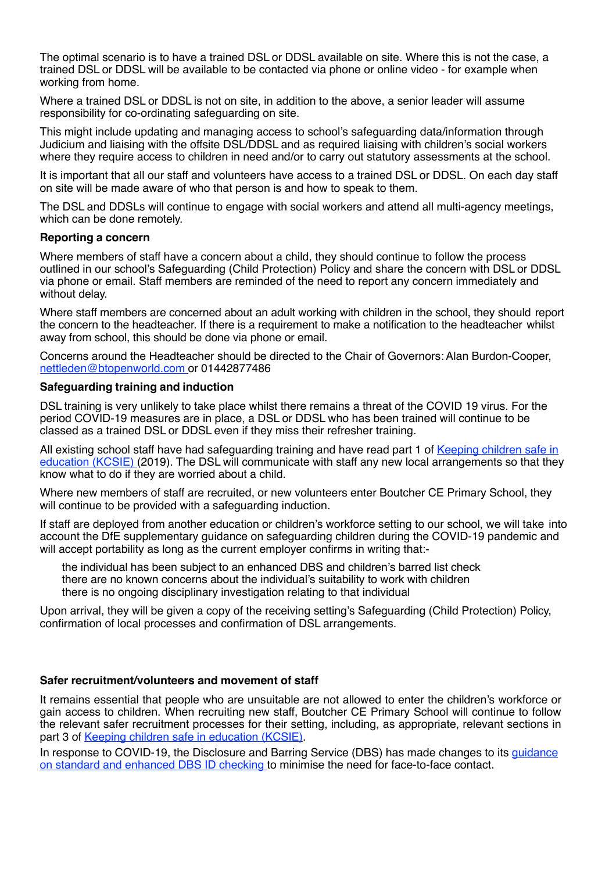The optimal scenario is to have a trained DSL or DDSL available on site. Where this is not the case, a trained DSL or DDSL will be available to be contacted via phone or online video - for example when working from home.

Where a trained DSL or DDSL is not on site, in addition to the above, a senior leader will assume responsibility for co-ordinating safeguarding on site.

This might include updating and managing access to school's safeguarding data/information through Judicium and liaising with the offsite DSL/DDSL and as required liaising with children's social workers where they require access to children in need and/or to carry out statutory assessments at the school.

It is important that all our staff and volunteers have access to a trained DSL or DDSL. On each day staff on site will be made aware of who that person is and how to speak to them.

The DSL and DDSLs will continue to engage with social workers and attend all multi-agency meetings, which can be done remotely.

#### **Reporting a concern**

Where members of staff have a concern about a child, they should continue to follow the process outlined in our school's Safeguarding (Child Protection) Policy and share the concern with DSL or DDSL via phone or email. Staff members are reminded of the need to report any concern immediately and without delay.

Where staff members are concerned about an adult working with children in the school, they should report the concern to the headteacher. If there is a requirement to make a notification to the headteacher whilst away from school, this should be done via phone or email.

Concerns around the Headteacher should be directed to the Chair of Governors:Alan Burdon-Cooper, [nettleden@btopenworld.com](mailto:nettleden@btopenworld.com) or 01442877486

#### **Safeguarding training and induction**

DSL training is very unlikely to take place whilst there remains a threat of the COVID 19 virus. For the period COVID-19 measures are in place, a DSL or DDSL who has been trained will continue to be classed as a trained DSL or DDSL even if they miss their refresher training.

All existing school staff have had safeguarding training and have read part 1 of Keeping children safe in education (KCSIE) (2019). The DSL will communicate with staff any new local arrangements so that they know what to do if they are worried about a child.

Where new members of staff are recruited, or new volunteers enter Boutcher CE Primary School, they will continue to be provided with a safeguarding induction.

If staff are deployed from another education or children's workforce setting to our school, we will take into account the DfE supplementary guidance on safeguarding children during the COVID-19 pandemic and will accept portability as long as the current employer confirms in writing that:-

the individual has been subject to an enhanced DBS and children's barred list check there are no known concerns about the individual's suitability to work with children there is no ongoing disciplinary investigation relating to that individual

Upon arrival, they will be given a copy of the receiving setting's Safeguarding (Child Protection) Policy, confirmation of local processes and confirmation of DSL arrangements.

#### **Safer recruitment/volunteers and movement of staff**

It remains essential that people who are unsuitable are not allowed to enter the children's workforce or gain access to children. When recruiting new staff, Boutcher CE Primary School will continue to follow the relevant safer recruitment processes for their setting, including, as appropriate, relevant sections in part 3 of Keeping children safe in education (KCSIE).

In response to COVID-19, the Disclosure and Barring Service (DBS) has made changes to its guidance on standard and enhanced DBS ID checking to minimise the need for face-to-face contact.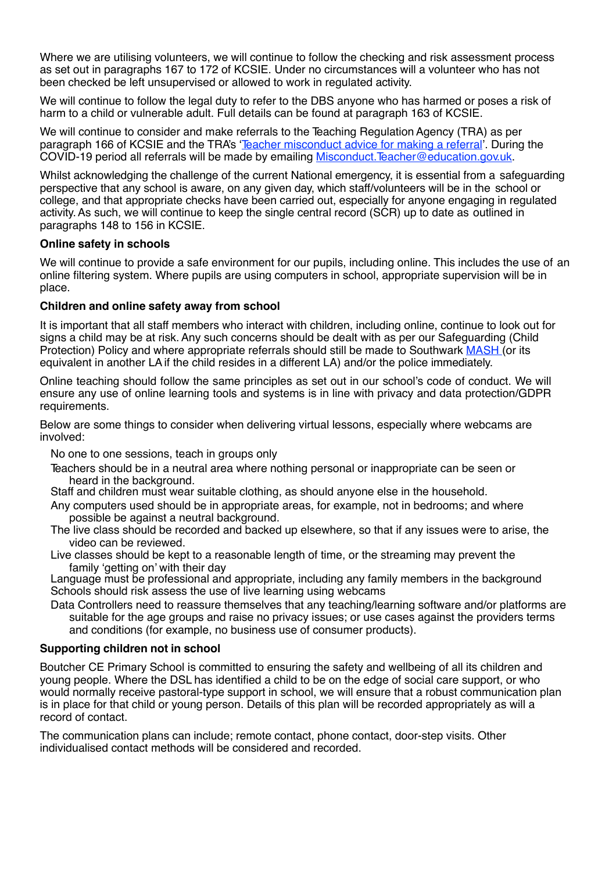Where we are utilising volunteers, we will continue to follow the checking and risk assessment process as set out in paragraphs 167 to 172 of KCSIE. Under no circumstances will a volunteer who has not been checked be left unsupervised or allowed to work in regulated activity.

We will continue to follow the legal duty to refer to the DBS anyone who has harmed or poses a risk of harm to a child or vulnerable adult. Full details can be found at paragraph 163 of KCSIE.

We will continue to consider and make referrals to the Teaching Regulation Agency (TRA) as per paragraph 166 of KCSIE and the TRA's 'Teacher misconduct advice for making a referral'. During the COVID-19 period all referrals will be made by emailing [Misconduct.Teacher@education.gov.uk.](mailto:Misconduct.Teacher@education.gov.uk)

Whilst acknowledging the challenge of the current National emergency, it is essential from a safeguarding perspective that any school is aware, on any given day, which staff/volunteers will be in the school or college, and that appropriate checks have been carried out, especially for anyone engaging in regulated activity.As such, we will continue to keep the single central record (SCR) up to date as outlined in paragraphs 148 to 156 in KCSIE.

### **Online safety in schools**

We will continue to provide a safe environment for our pupils, including online. This includes the use of an online filtering system. Where pupils are using computers in school, appropriate supervision will be in place.

### **Children and online safety away from school**

It is important that all staff members who interact with children, including online, continue to look out for signs a child may be at risk.Any such concerns should be dealt with as per our Safeguarding (Child Protection) Policy and where appropriate referrals should still be made to Southwark MASH (or its equivalent in another LAif the child resides in a different LA) and/or the police immediately.

Online teaching should follow the same principles as set out in our school's code of conduct. We will ensure any use of online learning tools and systems is in line with privacy and data protection/GDPR requirements.

Below are some things to consider when delivering virtual lessons, especially where webcams are involved:

No one to one sessions, teach in groups only

Teachers should be in a neutral area where nothing personal or inappropriate can be seen or heard in the background.

Staff and children must wear suitable clothing, as should anyone else in the household.

- Any computers used should be in appropriate areas, for example, not in bedrooms; and where possible be against a neutral background.
- The live class should be recorded and backed up elsewhere, so that if any issues were to arise, the video can be reviewed.
- Live classes should be kept to a reasonable length of time, or the streaming may prevent the family 'getting on' with their day

Language must be professional and appropriate, including any family members in the background Schools should risk assess the use of live learning using webcams

Data Controllers need to reassure themselves that any teaching/learning software and/or platforms are suitable for the age groups and raise no privacy issues; or use cases against the providers terms and conditions (for example, no business use of consumer products).

# **Supporting children not in school**

Boutcher CE Primary School is committed to ensuring the safety and wellbeing of all its children and young people. Where the DSL has identified a child to be on the edge of social care support, or who would normally receive pastoral-type support in school, we will ensure that a robust communication plan is in place for that child or young person. Details of this plan will be recorded appropriately as will a record of contact.

The communication plans can include; remote contact, phone contact, door-step visits. Other individualised contact methods will be considered and recorded.